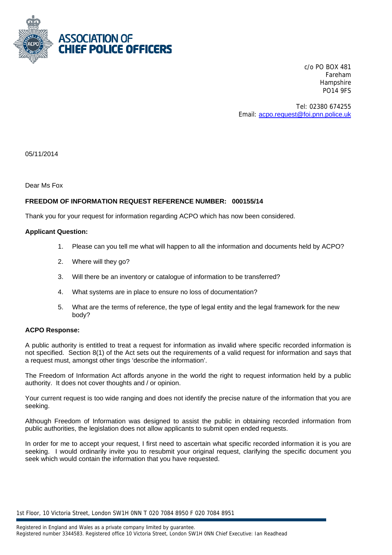

c/o PO BOX 481 Fareham **Hampshire** PO14 9FS

Tel: 02380 674255 Email: acpo.request@foi.pnn.police.uk

05/11/2014

Dear Ms Fox

# **FREEDOM OF INFORMATION REQUEST REFERENCE NUMBER: 000155/14**

Thank you for your request for information regarding ACPO which has now been considered.

## **Applicant Question:**

- 1. Please can you tell me what will happen to all the information and documents held by ACPO?
- 2. Where will they go?
- 3. Will there be an inventory or catalogue of information to be transferred?
- 4. What systems are in place to ensure no loss of documentation?
- 5. What are the terms of reference, the type of legal entity and the legal framework for the new body?

### **ACPO Response:**

A public authority is entitled to treat a request for information as invalid where specific recorded information is not specified. Section 8(1) of the Act sets out the requirements of a valid request for information and says that a request must, amongst other tings 'describe the information'.

The Freedom of Information Act affords anyone in the world the right to request information held by a public authority. It does not cover thoughts and / or opinion.

Your current request is too wide ranging and does not identify the precise nature of the information that you are seeking.

Although Freedom of Information was designed to assist the public in obtaining recorded information from public authorities, the legislation does not allow applicants to submit open ended requests.

In order for me to accept your request, I first need to ascertain what specific recorded information it is you are seeking. I would ordinarily invite you to resubmit your original request, clarifying the specific document you seek which would contain the information that you have requested.

1st Floor, 10 Victoria Street, London SW1H 0NN T 020 7084 8950 F 020 7084 8951

Registered in England and Wales as a private company limited by guarantee.

Registered number 3344583. Registered office 10 Victoria Street, London SW1H 0NN Chief Executive: Ian Readhead